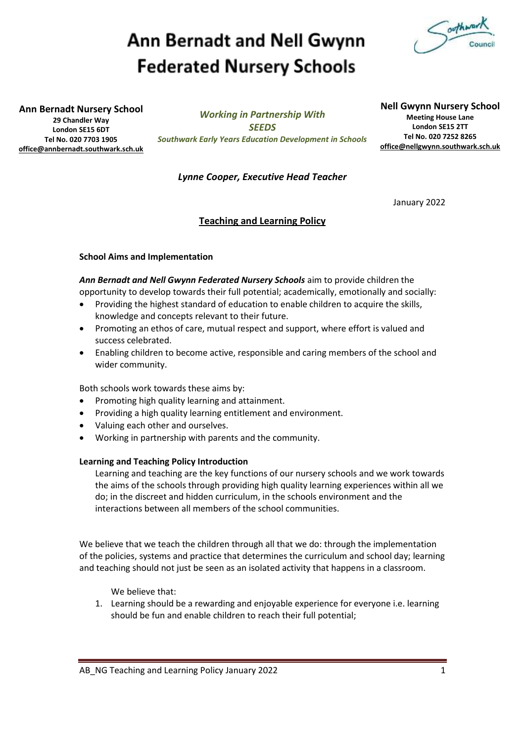# **Ann Bernadt and Nell Gwynn Federated Nursery Schools**



**Ann Bernadt Nursery School**

**29 Chandler Way London SE15 6DT Tel No. 020 7703 1905 [office@annbernadt.southwark.sch.uk](mailto:office@annbernadt.southwark.sch.uk)**

*Working in Partnership With SEEDS Southwark Early Years Education Development in Schools* **Nell Gwynn Nursery School Meeting House Lane London SE15 2TT Tel No. 020 7252 8265 [office@nellgwynn.southwark.sch.uk](mailto:office@nellgwynn.southwark.sch.uk)**

### *Lynne Cooper, Executive Head Teacher*

January 2022

### **Teaching and Learning Policy**

### **School Aims and Implementation**

*Ann Bernadt and Nell Gwynn Federated Nursery Schools* aim to provide children the opportunity to develop towards their full potential; academically, emotionally and socially:

- Providing the highest standard of education to enable children to acquire the skills, knowledge and concepts relevant to their future.
- Promoting an ethos of care, mutual respect and support, where effort is valued and success celebrated.
- Enabling children to become active, responsible and caring members of the school and wider community.

Both schools work towards these aims by:

- Promoting high quality learning and attainment.
- Providing a high quality learning entitlement and environment.
- Valuing each other and ourselves.
- Working in partnership with parents and the community.

#### **Learning and Teaching Policy Introduction**

Learning and teaching are the key functions of our nursery schools and we work towards the aims of the schools through providing high quality learning experiences within all we do; in the discreet and hidden curriculum, in the schools environment and the interactions between all members of the school communities.

We believe that we teach the children through all that we do: through the implementation of the policies, systems and practice that determines the curriculum and school day; learning and teaching should not just be seen as an isolated activity that happens in a classroom.

We believe that:

1. Learning should be a rewarding and enjoyable experience for everyone i.e. learning should be fun and enable children to reach their full potential;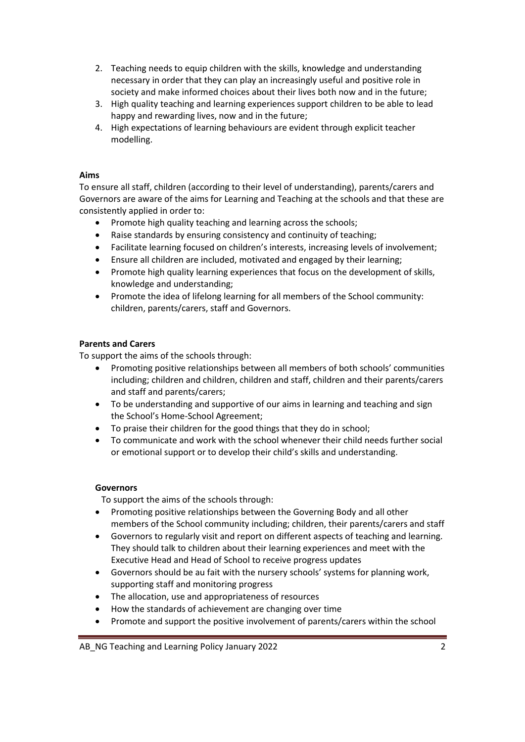- 2. Teaching needs to equip children with the skills, knowledge and understanding necessary in order that they can play an increasingly useful and positive role in society and make informed choices about their lives both now and in the future;
- 3. High quality teaching and learning experiences support children to be able to lead happy and rewarding lives, now and in the future;
- 4. High expectations of learning behaviours are evident through explicit teacher modelling.

#### **Aims**

To ensure all staff, children (according to their level of understanding), parents/carers and Governors are aware of the aims for Learning and Teaching at the schools and that these are consistently applied in order to:

- Promote high quality teaching and learning across the schools;
- Raise standards by ensuring consistency and continuity of teaching;
- Facilitate learning focused on children's interests, increasing levels of involvement;
- Ensure all children are included, motivated and engaged by their learning;
- Promote high quality learning experiences that focus on the development of skills, knowledge and understanding;
- Promote the idea of lifelong learning for all members of the School community: children, parents/carers, staff and Governors.

### **Parents and Carers**

To support the aims of the schools through:

- Promoting positive relationships between all members of both schools' communities including; children and children, children and staff, children and their parents/carers and staff and parents/carers;
- To be understanding and supportive of our aims in learning and teaching and sign the School's Home-School Agreement;
- To praise their children for the good things that they do in school;
- To communicate and work with the school whenever their child needs further social or emotional support or to develop their child's skills and understanding.

#### **Governors**

To support the aims of the schools through:

- Promoting positive relationships between the Governing Body and all other members of the School community including; children, their parents/carers and staff
- Governors to regularly visit and report on different aspects of teaching and learning. They should talk to children about their learning experiences and meet with the Executive Head and Head of School to receive progress updates
- Governors should be au fait with the nursery schools' systems for planning work, supporting staff and monitoring progress
- The allocation, use and appropriateness of resources
- How the standards of achievement are changing over time
- Promote and support the positive involvement of parents/carers within the school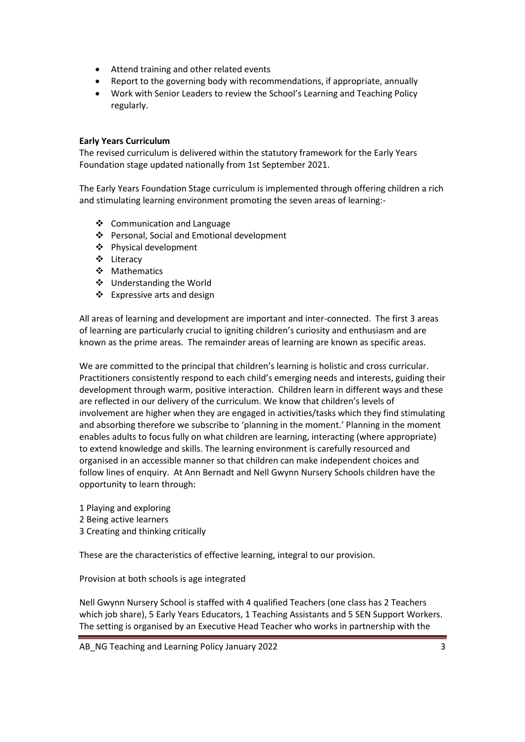- Attend training and other related events
- Report to the governing body with recommendations, if appropriate, annually
- Work with Senior Leaders to review the School's Learning and Teaching Policy regularly.

### **Early Years Curriculum**

The revised curriculum is delivered within the statutory framework for the Early Years Foundation stage updated nationally from 1st September 2021.

The Early Years Foundation Stage curriculum is implemented through offering children a rich and stimulating learning environment promoting the seven areas of learning:-

- ❖ Communication and Language
- ❖ Personal, Social and Emotional development
- Physical development
- Literacy
- ❖ Mathematics
- Understanding the World
- ❖ Expressive arts and design

All areas of learning and development are important and inter-connected. The first 3 areas of learning are particularly crucial to igniting children's curiosity and enthusiasm and are known as the prime areas. The remainder areas of learning are known as specific areas.

We are committed to the principal that children's learning is holistic and cross curricular. Practitioners consistently respond to each child's emerging needs and interests, guiding their development through warm, positive interaction. Children learn in different ways and these are reflected in our delivery of the curriculum. We know that children's levels of involvement are higher when they are engaged in activities/tasks which they find stimulating and absorbing therefore we subscribe to 'planning in the moment.' Planning in the moment enables adults to focus fully on what children are learning, interacting (where appropriate) to extend knowledge and skills. The learning environment is carefully resourced and organised in an accessible manner so that children can make independent choices and follow lines of enquiry. At Ann Bernadt and Nell Gwynn Nursery Schools children have the opportunity to learn through:

- 1 Playing and exploring
- 2 Being active learners
- 3 Creating and thinking critically

These are the characteristics of effective learning, integral to our provision.

Provision at both schools is age integrated

Nell Gwynn Nursery School is staffed with 4 qualified Teachers (one class has 2 Teachers which job share), 5 Early Years Educators, 1 Teaching Assistants and 5 SEN Support Workers. The setting is organised by an Executive Head Teacher who works in partnership with the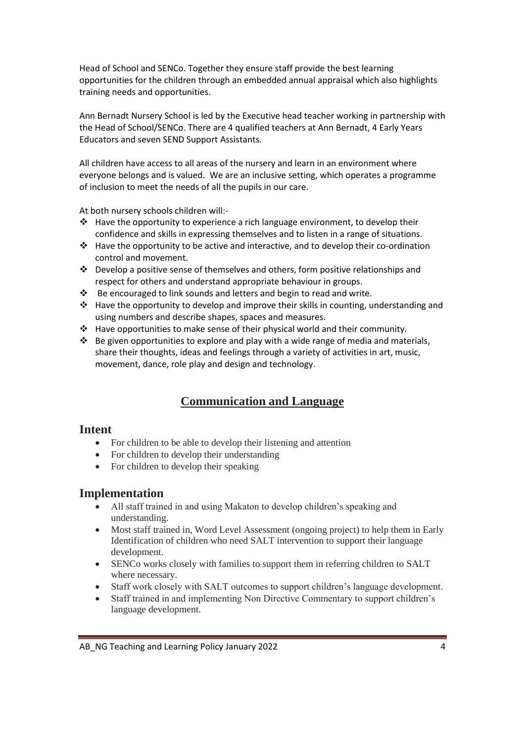Head of School and SENCo. Together they ensure staff provide the best learning opportunities for the children through an embedded annual appraisal which also highlights training needs and opportunities.

Ann Bernadt Nursery School is led by the Executive head teacher working in partnership with the Head of School/SENCo. There are 4 qualified teachers at Ann Bernadt, 4 Early Years Educators and seven SEND Support Assistants.

All children have access to all areas of the nursery and learn in an environment where everyone belongs and is valued. We are an inclusive setting, which operates a programme of inclusion to meet the needs of all the pupils in our care.

At both nursery schools children will:-

- $\cdot \cdot$  Have the opportunity to experience a rich language environment, to develop their confidence and skills in expressing themselves and to listen in a range of situations.
- \* Have the opportunity to be active and interactive, and to develop their co-ordination control and movement.
- $\div$  Develop a positive sense of themselves and others, form positive relationships and respect for others and understand appropriate behaviour in groups.
- Be encouraged to link sounds and letters and begin to read and write.
- \* Have the opportunity to develop and improve their skills in counting, understanding and using numbers and describe shapes, spaces and measures.
- Have opportunities to make sense of their physical world and their community.
- $\div$  Be given opportunities to explore and play with a wide range of media and materials, share their thoughts, ideas and feelings through a variety of activities in art, music, movement, dance, role play and design and technology.

# **Communication and Language**

### **Intent**

- For children to be able to develop their listening and attention
- For children to develop their understanding
- For children to develop their speaking

# **Implementation**

- All staff trained in and using Makaton to develop children's speaking and understanding.
- Most staff trained in, Word Level Assessment (ongoing project) to help them in Early Identification of children who need SALT intervention to support their language development.
- SENCo works closely with families to support them in referring children to SALT where necessary.
- Staff work closely with SALT outcomes to support children's language development.
- Staff trained in and implementing Non Directive Commentary to support children's language development.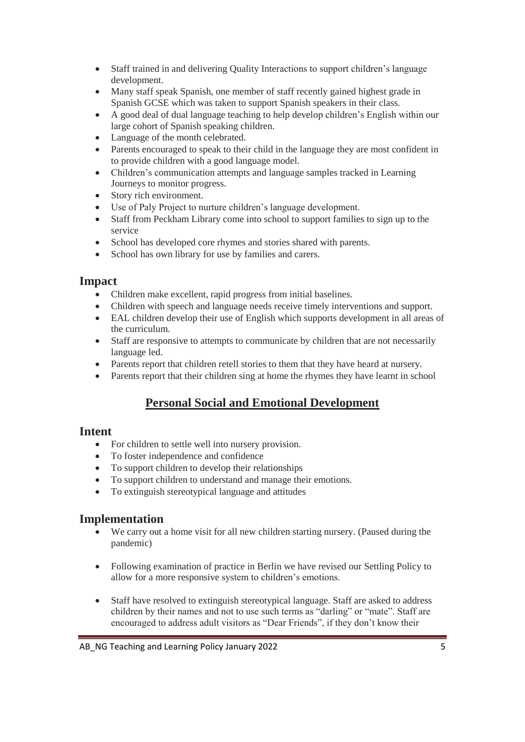- Staff trained in and delivering Quality Interactions to support children's language development.
- Many staff speak Spanish, one member of staff recently gained highest grade in Spanish GCSE which was taken to support Spanish speakers in their class.
- A good deal of dual language teaching to help develop children's English within our large cohort of Spanish speaking children.
- Language of the month celebrated.
- Parents encouraged to speak to their child in the language they are most confident in to provide children with a good language model.
- Children's communication attempts and language samples tracked in Learning Journeys to monitor progress.
- Story rich environment.
- Use of Paly Project to nurture children's language development.
- Staff from Peckham Library come into school to support families to sign up to the service
- School has developed core rhymes and stories shared with parents.
- School has own library for use by families and carers.

### **Impact**

- Children make excellent, rapid progress from initial baselines.
- Children with speech and language needs receive timely interventions and support.
- EAL children develop their use of English which supports development in all areas of the curriculum.
- Staff are responsive to attempts to communicate by children that are not necessarily language led.
- Parents report that children retell stories to them that they have heard at nursery.
- Parents report that their children sing at home the rhymes they have learnt in school

# **Personal Social and Emotional Development**

### **Intent**

- For children to settle well into nursery provision.
- To foster independence and confidence
- To support children to develop their relationships
- To support children to understand and manage their emotions.
- To extinguish stereotypical language and attitudes

# **Implementation**

- We carry out a home visit for all new children starting nursery. (Paused during the pandemic)
- Following examination of practice in Berlin we have revised our Settling Policy to allow for a more responsive system to children's emotions.
- Staff have resolved to extinguish stereotypical language. Staff are asked to address children by their names and not to use such terms as "darling" or "mate". Staff are encouraged to address adult visitors as "Dear Friends", if they don't know their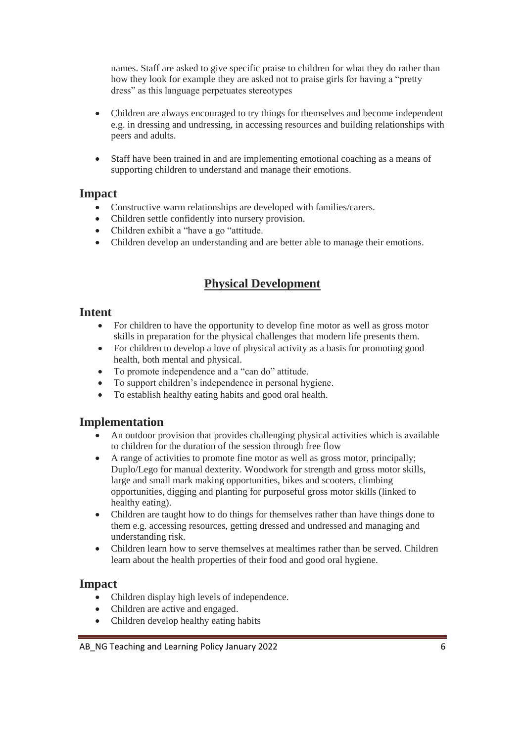names. Staff are asked to give specific praise to children for what they do rather than how they look for example they are asked not to praise girls for having a "pretty dress" as this language perpetuates stereotypes

- Children are always encouraged to try things for themselves and become independent e.g. in dressing and undressing, in accessing resources and building relationships with peers and adults.
- Staff have been trained in and are implementing emotional coaching as a means of supporting children to understand and manage their emotions.

# **Impact**

- Constructive warm relationships are developed with families/carers.
- Children settle confidently into nursery provision.
- Children exhibit a "have a go "attitude.
- Children develop an understanding and are better able to manage their emotions.

# **Physical Development**

### **Intent**

- For children to have the opportunity to develop fine motor as well as gross motor skills in preparation for the physical challenges that modern life presents them.
- For children to develop a love of physical activity as a basis for promoting good health, both mental and physical.
- To promote independence and a "can do" attitude.
- To support children's independence in personal hygiene.
- To establish healthy eating habits and good oral health.

# **Implementation**

- An outdoor provision that provides challenging physical activities which is available to children for the duration of the session through free flow
- A range of activities to promote fine motor as well as gross motor, principally; Duplo/Lego for manual dexterity. Woodwork for strength and gross motor skills, large and small mark making opportunities, bikes and scooters, climbing opportunities, digging and planting for purposeful gross motor skills (linked to healthy eating).
- Children are taught how to do things for themselves rather than have things done to them e.g. accessing resources, getting dressed and undressed and managing and understanding risk.
- Children learn how to serve themselves at mealtimes rather than be served. Children learn about the health properties of their food and good oral hygiene.

# **Impact**

- Children display high levels of independence.
- Children are active and engaged.
- Children develop healthy eating habits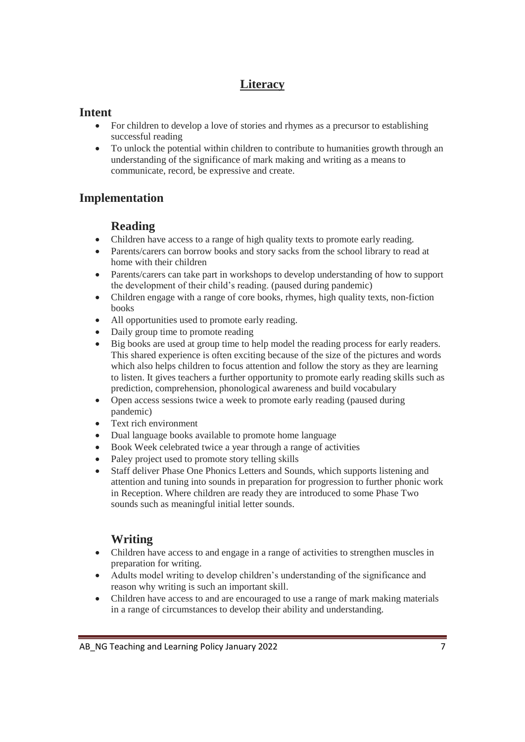# **Literacy**

# **Intent**

- For children to develop a love of stories and rhymes as a precursor to establishing successful reading
- To unlock the potential within children to contribute to humanities growth through an understanding of the significance of mark making and writing as a means to communicate, record, be expressive and create.

# **Implementation**

# **Reading**

- Children have access to a range of high quality texts to promote early reading.
- Parents/carers can borrow books and story sacks from the school library to read at home with their children
- Parents/carers can take part in workshops to develop understanding of how to support the development of their child's reading. (paused during pandemic)
- Children engage with a range of core books, rhymes, high quality texts, non-fiction books
- All opportunities used to promote early reading.
- Daily group time to promote reading
- Big books are used at group time to help model the reading process for early readers. This shared experience is often exciting because of the size of the pictures and words which also helps children to focus attention and follow the story as they are learning to listen. It gives teachers a further opportunity to promote early reading skills such as prediction, comprehension, phonological awareness and build vocabulary
- Open access sessions twice a week to promote early reading (paused during pandemic)
- Text rich environment
- Dual language books available to promote home language
- Book Week celebrated twice a year through a range of activities
- Paley project used to promote story telling skills
- Staff deliver Phase One Phonics Letters and Sounds, which supports listening and attention and tuning into sounds in preparation for progression to further phonic work in Reception. Where children are ready they are introduced to some Phase Two sounds such as meaningful initial letter sounds.

# **Writing**

- Children have access to and engage in a range of activities to strengthen muscles in preparation for writing.
- Adults model writing to develop children's understanding of the significance and reason why writing is such an important skill.
- Children have access to and are encouraged to use a range of mark making materials in a range of circumstances to develop their ability and understanding.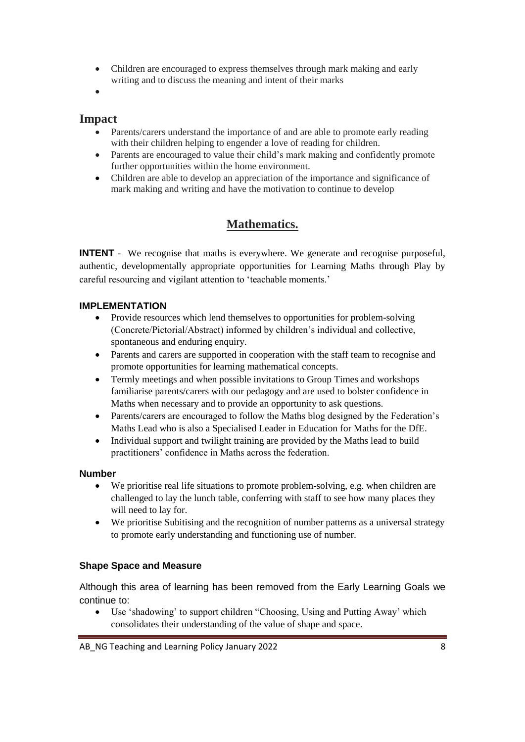- Children are encouraged to express themselves through mark making and early writing and to discuss the meaning and intent of their marks
- $\bullet$

# **Impact**

- Parents/carers understand the importance of and are able to promote early reading with their children helping to engender a love of reading for children.
- Parents are encouraged to value their child's mark making and confidently promote further opportunities within the home environment.
- Children are able to develop an appreciation of the importance and significance of mark making and writing and have the motivation to continue to develop

# **Mathematics.**

**INTENT** - We recognise that maths is everywhere. We generate and recognise purposeful, authentic, developmentally appropriate opportunities for Learning Maths through Play by careful resourcing and vigilant attention to 'teachable moments.'

### **IMPLEMENTATION**

- Provide resources which lend themselves to opportunities for problem-solving (Concrete/Pictorial/Abstract) informed by children's individual and collective, spontaneous and enduring enquiry.
- Parents and carers are supported in cooperation with the staff team to recognise and promote opportunities for learning mathematical concepts.
- Termly meetings and when possible invitations to Group Times and workshops familiarise parents/carers with our pedagogy and are used to bolster confidence in Maths when necessary and to provide an opportunity to ask questions.
- Parents/carers are encouraged to follow the Maths blog designed by the Federation's Maths Lead who is also a Specialised Leader in Education for Maths for the DfE.
- Individual support and twilight training are provided by the Maths lead to build practitioners' confidence in Maths across the federation.

### **Number**

- We prioritise real life situations to promote problem-solving, e.g. when children are challenged to lay the lunch table, conferring with staff to see how many places they will need to lay for.
- We prioritise Subitising and the recognition of number patterns as a universal strategy to promote early understanding and functioning use of number.

### **Shape Space and Measure**

Although this area of learning has been removed from the Early Learning Goals we continue to:

 Use 'shadowing' to support children "Choosing, Using and Putting Away' which consolidates their understanding of the value of shape and space.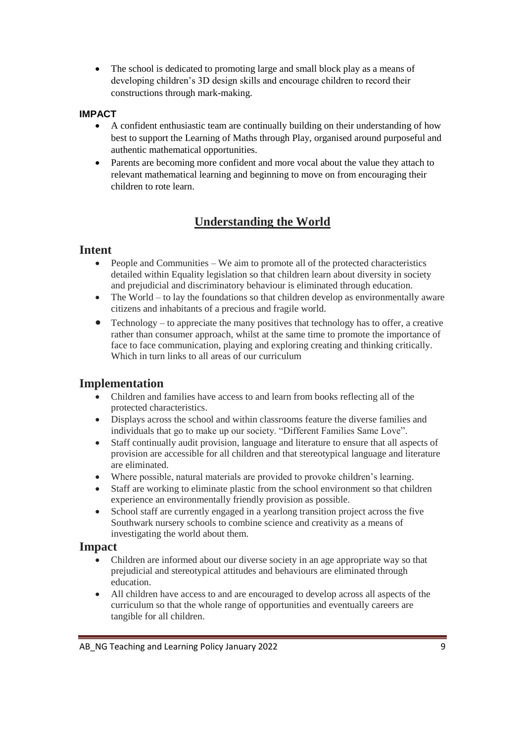• The school is dedicated to promoting large and small block play as a means of developing children's 3D design skills and encourage children to record their constructions through mark-making.

### **IMPACT**

- A confident enthusiastic team are continually building on their understanding of how best to support the Learning of Maths through Play, organised around purposeful and authentic mathematical opportunities.
- Parents are becoming more confident and more vocal about the value they attach to relevant mathematical learning and beginning to move on from encouraging their children to rote learn.

# **Understanding the World**

# **Intent**

- People and Communities We aim to promote all of the protected characteristics detailed within Equality legislation so that children learn about diversity in society and prejudicial and discriminatory behaviour is eliminated through education.
- The World to lay the foundations so that children develop as environmentally aware citizens and inhabitants of a precious and fragile world.
- $\bullet$  Technology to appreciate the many positives that technology has to offer, a creative rather than consumer approach, whilst at the same time to promote the importance of face to face communication, playing and exploring creating and thinking critically. Which in turn links to all areas of our curriculum

# **Implementation**

- Children and families have access to and learn from books reflecting all of the protected characteristics.
- Displays across the school and within classrooms feature the diverse families and individuals that go to make up our society. "Different Families Same Love".
- Staff continually audit provision, language and literature to ensure that all aspects of provision are accessible for all children and that stereotypical language and literature are eliminated.
- Where possible, natural materials are provided to provoke children's learning.
- Staff are working to eliminate plastic from the school environment so that children experience an environmentally friendly provision as possible.
- School staff are currently engaged in a yearlong transition project across the five Southwark nursery schools to combine science and creativity as a means of investigating the world about them.

# **Impact**

- Children are informed about our diverse society in an age appropriate way so that prejudicial and stereotypical attitudes and behaviours are eliminated through education.
- All children have access to and are encouraged to develop across all aspects of the curriculum so that the whole range of opportunities and eventually careers are tangible for all children.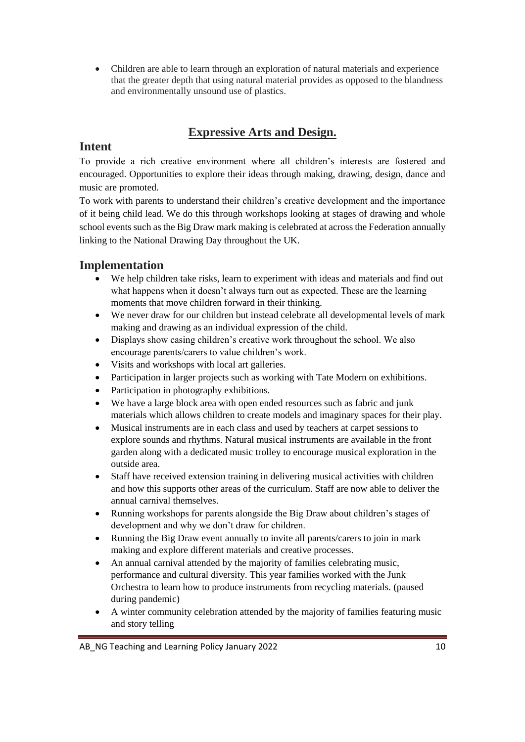Children are able to learn through an exploration of natural materials and experience that the greater depth that using natural material provides as opposed to the blandness and environmentally unsound use of plastics.

# **Expressive Arts and Design.**

# **Intent**

To provide a rich creative environment where all children's interests are fostered and encouraged. Opportunities to explore their ideas through making, drawing, design, dance and music are promoted.

To work with parents to understand their children's creative development and the importance of it being child lead. We do this through workshops looking at stages of drawing and whole school events such as the Big Draw mark making is celebrated at across the Federation annually linking to the National Drawing Day throughout the UK.

# **Implementation**

- We help children take risks, learn to experiment with ideas and materials and find out what happens when it doesn't always turn out as expected. These are the learning moments that move children forward in their thinking.
- We never draw for our children but instead celebrate all developmental levels of mark making and drawing as an individual expression of the child.
- Displays show casing children's creative work throughout the school. We also encourage parents/carers to value children's work.
- Visits and workshops with local art galleries.
- Participation in larger projects such as working with Tate Modern on exhibitions.
- Participation in photography exhibitions.
- We have a large block area with open ended resources such as fabric and junk materials which allows children to create models and imaginary spaces for their play.
- Musical instruments are in each class and used by teachers at carpet sessions to explore sounds and rhythms. Natural musical instruments are available in the front garden along with a dedicated music trolley to encourage musical exploration in the outside area.
- Staff have received extension training in delivering musical activities with children and how this supports other areas of the curriculum. Staff are now able to deliver the annual carnival themselves.
- Running workshops for parents alongside the Big Draw about children's stages of development and why we don't draw for children.
- Running the Big Draw event annually to invite all parents/carers to join in mark making and explore different materials and creative processes.
- An annual carnival attended by the majority of families celebrating music, performance and cultural diversity. This year families worked with the Junk Orchestra to learn how to produce instruments from recycling materials. (paused during pandemic)
- A winter community celebration attended by the majority of families featuring music and story telling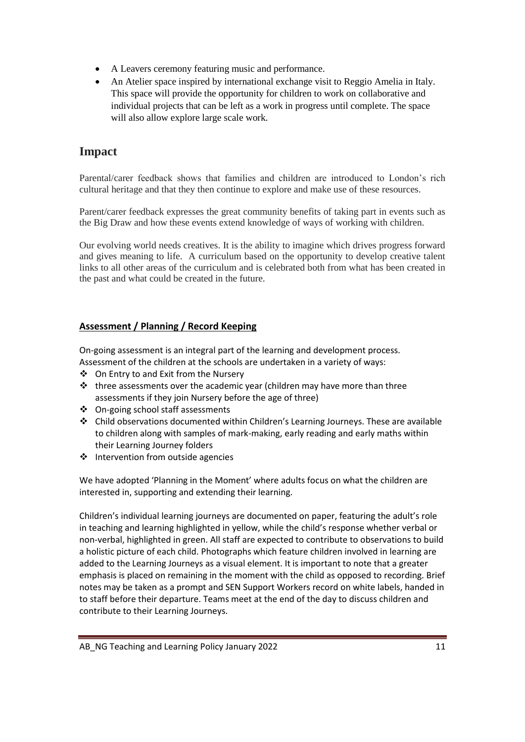- A Leavers ceremony featuring music and performance.
- An Atelier space inspired by international exchange visit to Reggio Amelia in Italy. This space will provide the opportunity for children to work on collaborative and individual projects that can be left as a work in progress until complete. The space will also allow explore large scale work.

# **Impact**

Parental/carer feedback shows that families and children are introduced to London's rich cultural heritage and that they then continue to explore and make use of these resources.

Parent/carer feedback expresses the great community benefits of taking part in events such as the Big Draw and how these events extend knowledge of ways of working with children.

Our evolving world needs creatives. It is the ability to imagine which drives progress forward and gives meaning to life. A curriculum based on the opportunity to develop creative talent links to all other areas of the curriculum and is celebrated both from what has been created in the past and what could be created in the future.

### **Assessment / Planning / Record Keeping**

On-going assessment is an integral part of the learning and development process. Assessment of the children at the schools are undertaken in a variety of ways:

- On Entry to and Exit from the Nursery
- $\cdot \cdot$  three assessments over the academic year (children may have more than three assessments if they join Nursery before the age of three)
- On-going school staff assessments
- Child observations documented within Children's Learning Journeys. These are available to children along with samples of mark-making, early reading and early maths within their Learning Journey folders
- $\div$  Intervention from outside agencies

We have adopted 'Planning in the Moment' where adults focus on what the children are interested in, supporting and extending their learning.

Children's individual learning journeys are documented on paper, featuring the adult's role in teaching and learning highlighted in yellow, while the child's response whether verbal or non-verbal, highlighted in green. All staff are expected to contribute to observations to build a holistic picture of each child. Photographs which feature children involved in learning are added to the Learning Journeys as a visual element. It is important to note that a greater emphasis is placed on remaining in the moment with the child as opposed to recording. Brief notes may be taken as a prompt and SEN Support Workers record on white labels, handed in to staff before their departure. Teams meet at the end of the day to discuss children and contribute to their Learning Journeys.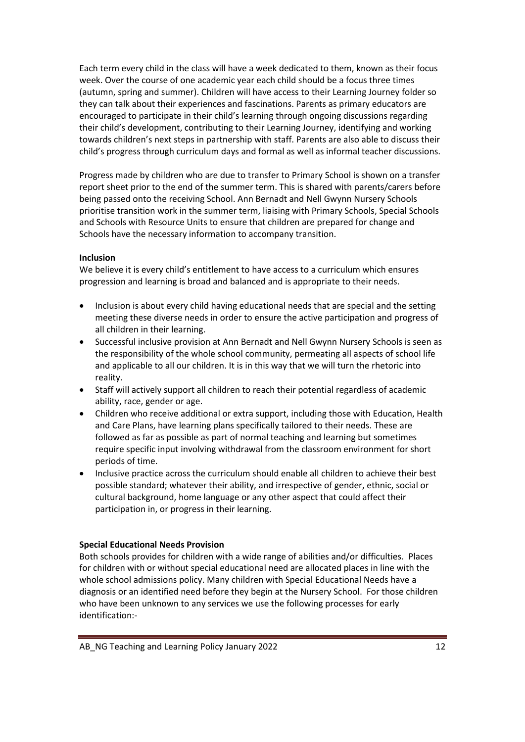Each term every child in the class will have a week dedicated to them, known as their focus week. Over the course of one academic year each child should be a focus three times (autumn, spring and summer). Children will have access to their Learning Journey folder so they can talk about their experiences and fascinations. Parents as primary educators are encouraged to participate in their child's learning through ongoing discussions regarding their child's development, contributing to their Learning Journey, identifying and working towards children's next steps in partnership with staff. Parents are also able to discuss their child's progress through curriculum days and formal as well as informal teacher discussions.

Progress made by children who are due to transfer to Primary School is shown on a transfer report sheet prior to the end of the summer term. This is shared with parents/carers before being passed onto the receiving School. Ann Bernadt and Nell Gwynn Nursery Schools prioritise transition work in the summer term, liaising with Primary Schools, Special Schools and Schools with Resource Units to ensure that children are prepared for change and Schools have the necessary information to accompany transition.

### **Inclusion**

We believe it is every child's entitlement to have access to a curriculum which ensures progression and learning is broad and balanced and is appropriate to their needs.

- Inclusion is about every child having educational needs that are special and the setting meeting these diverse needs in order to ensure the active participation and progress of all children in their learning.
- Successful inclusive provision at Ann Bernadt and Nell Gwynn Nursery Schools is seen as the responsibility of the whole school community, permeating all aspects of school life and applicable to all our children. It is in this way that we will turn the rhetoric into reality.
- Staff will actively support all children to reach their potential regardless of academic ability, race, gender or age.
- Children who receive additional or extra support, including those with Education, Health and Care Plans, have learning plans specifically tailored to their needs. These are followed as far as possible as part of normal teaching and learning but sometimes require specific input involving withdrawal from the classroom environment for short periods of time.
- Inclusive practice across the curriculum should enable all children to achieve their best possible standard; whatever their ability, and irrespective of gender, ethnic, social or cultural background, home language or any other aspect that could affect their participation in, or progress in their learning.

#### **Special Educational Needs Provision**

Both schools provides for children with a wide range of abilities and/or difficulties. Places for children with or without special educational need are allocated places in line with the whole school admissions policy. Many children with Special Educational Needs have a diagnosis or an identified need before they begin at the Nursery School. For those children who have been unknown to any services we use the following processes for early identification:-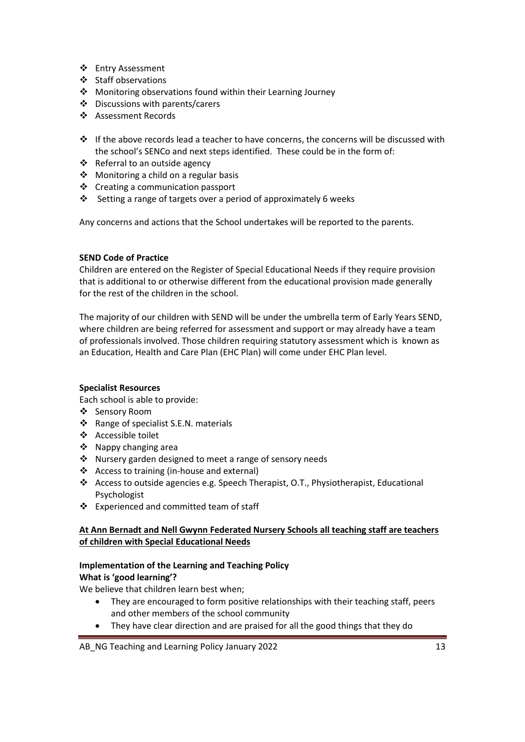- ❖ Entry Assessment
- ❖ Staff observations
- Monitoring observations found within their Learning Journey
- Discussions with parents/carers
- ❖ Assessment Records
- If the above records lead a teacher to have concerns, the concerns will be discussed with the school's SENCo and next steps identified. These could be in the form of:
- Referral to an outside agency
- $\triangleleft$  Monitoring a child on a regular basis
- ❖ Creating a communication passport
- Setting a range of targets over a period of approximately 6 weeks

Any concerns and actions that the School undertakes will be reported to the parents.

### **SEND Code of Practice**

Children are entered on the Register of Special Educational Needs if they require provision that is additional to or otherwise different from the educational provision made generally for the rest of the children in the school.

The majority of our children with SEND will be under the umbrella term of Early Years SEND, where children are being referred for assessment and support or may already have a team of professionals involved. Those children requiring statutory assessment which is known as an Education, Health and Care Plan (EHC Plan) will come under EHC Plan level.

#### **Specialist Resources**

Each school is able to provide:

- Sensory Room
- \* Range of specialist S.E.N. materials
- ❖ Accessible toilet
- ❖ Nappy changing area
- \* Nursery garden designed to meet a range of sensory needs
- ❖ Access to training (in-house and external)
- $\triangleleft$  Access to outside agencies e.g. Speech Therapist, O.T., Physiotherapist, Educational Psychologist
- Experienced and committed team of staff

### **At Ann Bernadt and Nell Gwynn Federated Nursery Schools all teaching staff are teachers of children with Special Educational Needs**

# **Implementation of the Learning and Teaching Policy**

**What is 'good learning'?**

We believe that children learn best when;

- They are encouraged to form positive relationships with their teaching staff, peers and other members of the school community
- They have clear direction and are praised for all the good things that they do

AB\_NG Teaching and Learning Policy January 2022 13 and 13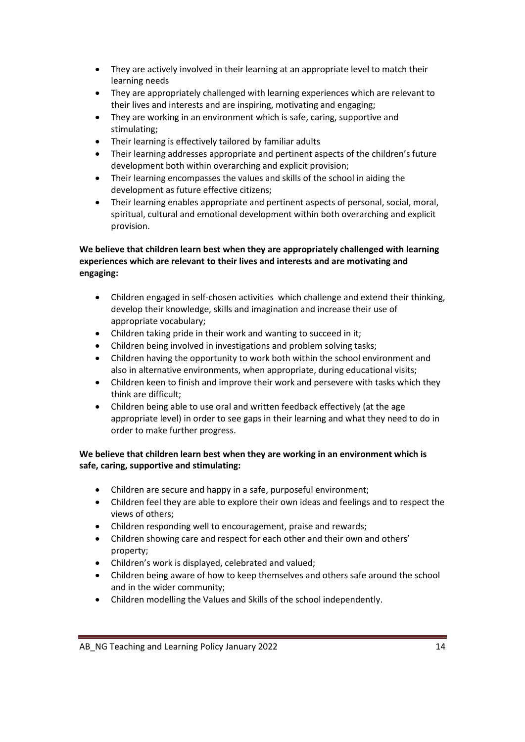- They are actively involved in their learning at an appropriate level to match their learning needs
- They are appropriately challenged with learning experiences which are relevant to their lives and interests and are inspiring, motivating and engaging;
- They are working in an environment which is safe, caring, supportive and stimulating;
- Their learning is effectively tailored by familiar adults
- Their learning addresses appropriate and pertinent aspects of the children's future development both within overarching and explicit provision;
- Their learning encompasses the values and skills of the school in aiding the development as future effective citizens;
- Their learning enables appropriate and pertinent aspects of personal, social, moral, spiritual, cultural and emotional development within both overarching and explicit provision.

### **We believe that children learn best when they are appropriately challenged with learning experiences which are relevant to their lives and interests and are motivating and engaging:**

- Children engaged in self-chosen activities which challenge and extend their thinking, develop their knowledge, skills and imagination and increase their use of appropriate vocabulary;
- Children taking pride in their work and wanting to succeed in it;
- Children being involved in investigations and problem solving tasks;
- Children having the opportunity to work both within the school environment and also in alternative environments, when appropriate, during educational visits;
- Children keen to finish and improve their work and persevere with tasks which they think are difficult;
- Children being able to use oral and written feedback effectively (at the age appropriate level) in order to see gaps in their learning and what they need to do in order to make further progress.

### **We believe that children learn best when they are working in an environment which is safe, caring, supportive and stimulating:**

- Children are secure and happy in a safe, purposeful environment;
- Children feel they are able to explore their own ideas and feelings and to respect the views of others;
- Children responding well to encouragement, praise and rewards;
- Children showing care and respect for each other and their own and others' property;
- Children's work is displayed, celebrated and valued;
- Children being aware of how to keep themselves and others safe around the school and in the wider community;
- Children modelling the Values and Skills of the school independently.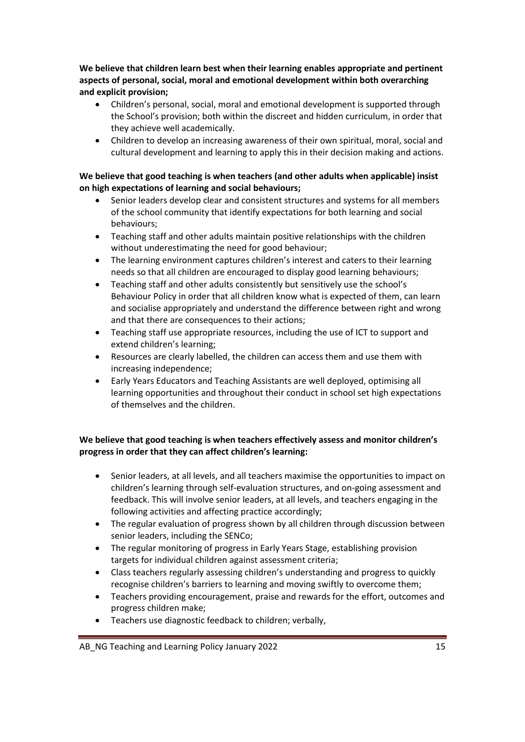**We believe that children learn best when their learning enables appropriate and pertinent aspects of personal, social, moral and emotional development within both overarching and explicit provision;**

- Children's personal, social, moral and emotional development is supported through the School's provision; both within the discreet and hidden curriculum, in order that they achieve well academically.
- Children to develop an increasing awareness of their own spiritual, moral, social and cultural development and learning to apply this in their decision making and actions.

### **We believe that good teaching is when teachers (and other adults when applicable) insist on high expectations of learning and social behaviours;**

- Senior leaders develop clear and consistent structures and systems for all members of the school community that identify expectations for both learning and social behaviours;
- Teaching staff and other adults maintain positive relationships with the children without underestimating the need for good behaviour;
- The learning environment captures children's interest and caters to their learning needs so that all children are encouraged to display good learning behaviours;
- Teaching staff and other adults consistently but sensitively use the school's Behaviour Policy in order that all children know what is expected of them, can learn and socialise appropriately and understand the difference between right and wrong and that there are consequences to their actions;
- Teaching staff use appropriate resources, including the use of ICT to support and extend children's learning;
- Resources are clearly labelled, the children can access them and use them with increasing independence;
- Early Years Educators and Teaching Assistants are well deployed, optimising all learning opportunities and throughout their conduct in school set high expectations of themselves and the children.

### **We believe that good teaching is when teachers effectively assess and monitor children's progress in order that they can affect children's learning:**

- Senior leaders, at all levels, and all teachers maximise the opportunities to impact on children's learning through self-evaluation structures, and on-going assessment and feedback. This will involve senior leaders, at all levels, and teachers engaging in the following activities and affecting practice accordingly;
- The regular evaluation of progress shown by all children through discussion between senior leaders, including the SENCo;
- The regular monitoring of progress in Early Years Stage, establishing provision targets for individual children against assessment criteria;
- Class teachers regularly assessing children's understanding and progress to quickly recognise children's barriers to learning and moving swiftly to overcome them;
- Teachers providing encouragement, praise and rewards for the effort, outcomes and progress children make;
- Teachers use diagnostic feedback to children; verbally,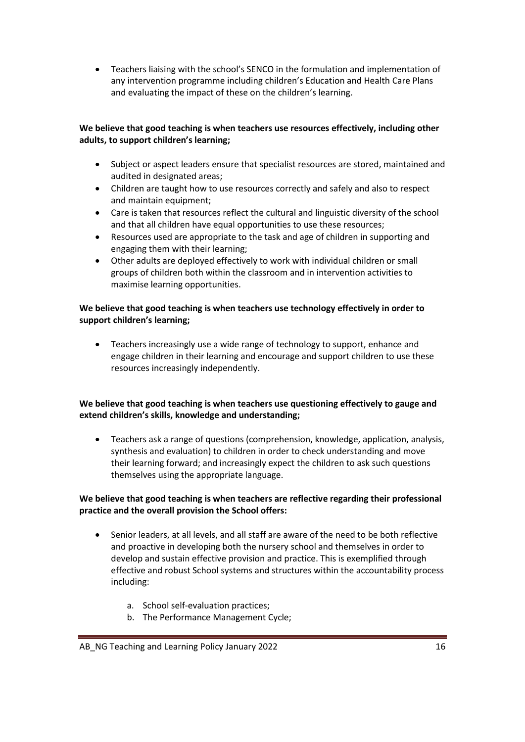Teachers liaising with the school's SENCO in the formulation and implementation of any intervention programme including children's Education and Health Care Plans and evaluating the impact of these on the children's learning.

### **We believe that good teaching is when teachers use resources effectively, including other adults, to support children's learning;**

- Subject or aspect leaders ensure that specialist resources are stored, maintained and audited in designated areas;
- Children are taught how to use resources correctly and safely and also to respect and maintain equipment;
- Care is taken that resources reflect the cultural and linguistic diversity of the school and that all children have equal opportunities to use these resources;
- Resources used are appropriate to the task and age of children in supporting and engaging them with their learning;
- Other adults are deployed effectively to work with individual children or small groups of children both within the classroom and in intervention activities to maximise learning opportunities.

### **We believe that good teaching is when teachers use technology effectively in order to support children's learning;**

 Teachers increasingly use a wide range of technology to support, enhance and engage children in their learning and encourage and support children to use these resources increasingly independently.

### **We believe that good teaching is when teachers use questioning effectively to gauge and extend children's skills, knowledge and understanding;**

 Teachers ask a range of questions (comprehension, knowledge, application, analysis, synthesis and evaluation) to children in order to check understanding and move their learning forward; and increasingly expect the children to ask such questions themselves using the appropriate language.

### **We believe that good teaching is when teachers are reflective regarding their professional practice and the overall provision the School offers:**

- Senior leaders, at all levels, and all staff are aware of the need to be both reflective and proactive in developing both the nursery school and themselves in order to develop and sustain effective provision and practice. This is exemplified through effective and robust School systems and structures within the accountability process including:
	- a. School self-evaluation practices;
	- b. The Performance Management Cycle;